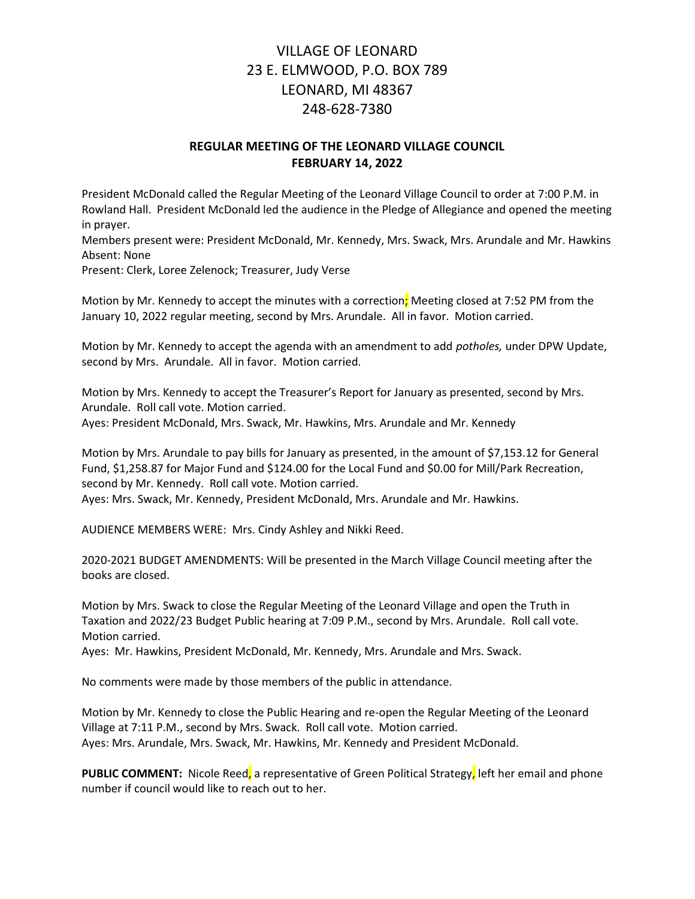# VILLAGE OF LEONARD 23 E. ELMWOOD, P.O. BOX 789 LEONARD, MI 48367 248-628-7380

## REGULAR MEETING OF THE LEONARD VILLAGE COUNCIL FEBRUARY 14, 2022

President McDonald called the Regular Meeting of the Leonard Village Council to order at 7:00 P.M. in Rowland Hall. President McDonald led the audience in the Pledge of Allegiance and opened the meeting in prayer.

Members present were: President McDonald, Mr. Kennedy, Mrs. Swack, Mrs. Arundale and Mr. Hawkins Absent: None

Present: Clerk, Loree Zelenock; Treasurer, Judy Verse

Motion by Mr. Kennedy to accept the minutes with a correction; Meeting closed at 7:52 PM from the January 10, 2022 regular meeting, second by Mrs. Arundale. All in favor. Motion carried.

Motion by Mr. Kennedy to accept the agenda with an amendment to add potholes, under DPW Update, second by Mrs. Arundale. All in favor. Motion carried.

Motion by Mrs. Kennedy to accept the Treasurer's Report for January as presented, second by Mrs. Arundale. Roll call vote. Motion carried. Ayes: President McDonald, Mrs. Swack, Mr. Hawkins, Mrs. Arundale and Mr. Kennedy

Motion by Mrs. Arundale to pay bills for January as presented, in the amount of \$7,153.12 for General Fund, \$1,258.87 for Major Fund and \$124.00 for the Local Fund and \$0.00 for Mill/Park Recreation, second by Mr. Kennedy. Roll call vote. Motion carried. Ayes: Mrs. Swack, Mr. Kennedy, President McDonald, Mrs. Arundale and Mr. Hawkins.

AUDIENCE MEMBERS WERE: Mrs. Cindy Ashley and Nikki Reed.

2020-2021 BUDGET AMENDMENTS: Will be presented in the March Village Council meeting after the books are closed.

Motion by Mrs. Swack to close the Regular Meeting of the Leonard Village and open the Truth in Taxation and 2022/23 Budget Public hearing at 7:09 P.M., second by Mrs. Arundale. Roll call vote. Motion carried.

Ayes: Mr. Hawkins, President McDonald, Mr. Kennedy, Mrs. Arundale and Mrs. Swack.

No comments were made by those members of the public in attendance.

Motion by Mr. Kennedy to close the Public Hearing and re-open the Regular Meeting of the Leonard Village at 7:11 P.M., second by Mrs. Swack. Roll call vote. Motion carried. Ayes: Mrs. Arundale, Mrs. Swack, Mr. Hawkins, Mr. Kennedy and President McDonald.

PUBLIC COMMENT: Nicole Reed, a representative of Green Political Strategy, left her email and phone number if council would like to reach out to her.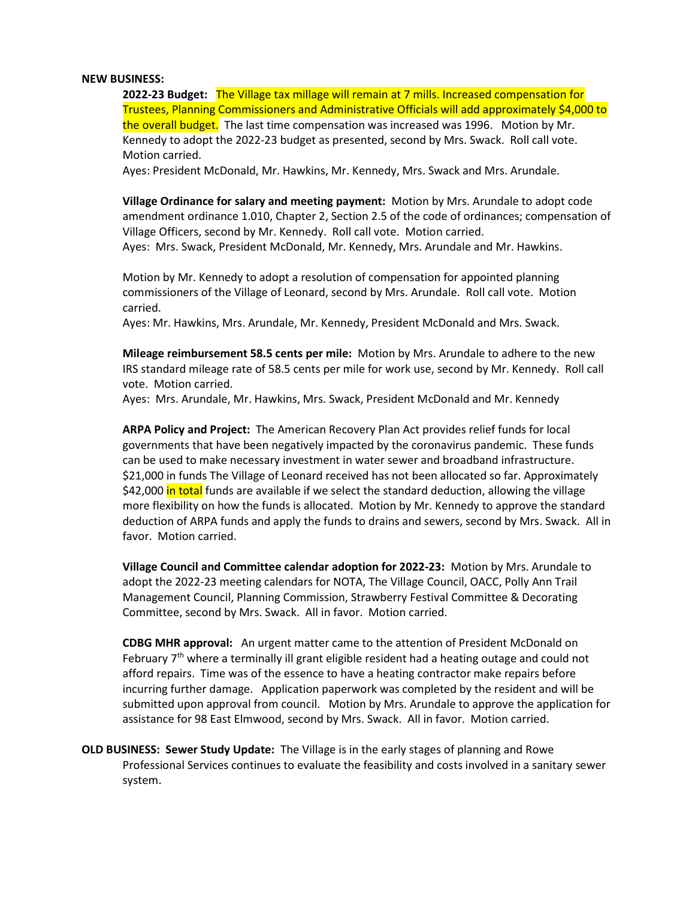### NEW BUSINESS:

2022-23 Budget: The Village tax millage will remain at 7 mills. Increased compensation for Trustees, Planning Commissioners and Administrative Officials will add approximately \$4,000 to the overall budget. The last time compensation was increased was 1996. Motion by Mr. Kennedy to adopt the 2022-23 budget as presented, second by Mrs. Swack. Roll call vote. Motion carried.

Ayes: President McDonald, Mr. Hawkins, Mr. Kennedy, Mrs. Swack and Mrs. Arundale.

Village Ordinance for salary and meeting payment: Motion by Mrs. Arundale to adopt code amendment ordinance 1.010, Chapter 2, Section 2.5 of the code of ordinances; compensation of Village Officers, second by Mr. Kennedy. Roll call vote. Motion carried. Ayes: Mrs. Swack, President McDonald, Mr. Kennedy, Mrs. Arundale and Mr. Hawkins.

 Motion by Mr. Kennedy to adopt a resolution of compensation for appointed planning commissioners of the Village of Leonard, second by Mrs. Arundale. Roll call vote. Motion carried.

Ayes: Mr. Hawkins, Mrs. Arundale, Mr. Kennedy, President McDonald and Mrs. Swack.

Mileage reimbursement 58.5 cents per mile: Motion by Mrs. Arundale to adhere to the new IRS standard mileage rate of 58.5 cents per mile for work use, second by Mr. Kennedy. Roll call vote. Motion carried.

Ayes: Mrs. Arundale, Mr. Hawkins, Mrs. Swack, President McDonald and Mr. Kennedy

ARPA Policy and Project: The American Recovery Plan Act provides relief funds for local governments that have been negatively impacted by the coronavirus pandemic. These funds can be used to make necessary investment in water sewer and broadband infrastructure. \$21,000 in funds The Village of Leonard received has not been allocated so far. Approximately \$42,000 in total funds are available if we select the standard deduction, allowing the village more flexibility on how the funds is allocated. Motion by Mr. Kennedy to approve the standard deduction of ARPA funds and apply the funds to drains and sewers, second by Mrs. Swack. All in favor. Motion carried.

Village Council and Committee calendar adoption for 2022-23: Motion by Mrs. Arundale to adopt the 2022-23 meeting calendars for NOTA, The Village Council, OACC, Polly Ann Trail Management Council, Planning Commission, Strawberry Festival Committee & Decorating Committee, second by Mrs. Swack. All in favor. Motion carried.

 CDBG MHR approval: An urgent matter came to the attention of President McDonald on February  $7<sup>th</sup>$  where a terminally ill grant eligible resident had a heating outage and could not afford repairs. Time was of the essence to have a heating contractor make repairs before incurring further damage. Application paperwork was completed by the resident and will be submitted upon approval from council. Motion by Mrs. Arundale to approve the application for assistance for 98 East Elmwood, second by Mrs. Swack. All in favor. Motion carried.

OLD BUSINESS: Sewer Study Update: The Village is in the early stages of planning and Rowe Professional Services continues to evaluate the feasibility and costs involved in a sanitary sewer system.